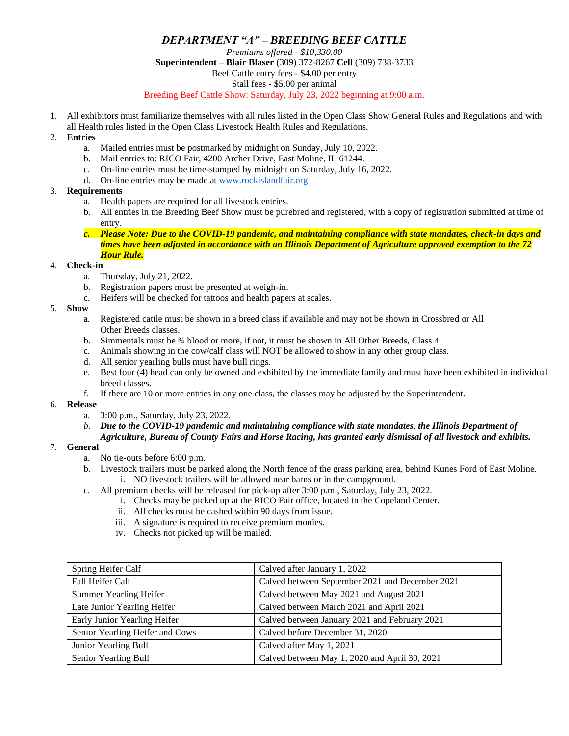# *DEPARTMENT "A" – BREEDING BEEF CATTLE*

*Premiums offered - \$10,330.00* **Superintendent – Blair Blaser** (309) 372-8267 **Cell** (309) 738-3733 Beef Cattle entry fees - \$4.00 per entry Stall fees - \$5.00 per animal Breeding Beef Cattle Show: Saturday, July 23, 2022 beginning at 9:00 a.m.

1. All exhibitors must familiarize themselves with all rules listed in the Open Class Show General Rules and Regulations and with all Health rules listed in the Open Class Livestock Health Rules and Regulations.

#### 2. **Entries**

- a. Mailed entries must be postmarked by midnight on Sunday, July 10, 2022.
- b. Mail entries to: RICO Fair, 4200 Archer Drive, East Moline, IL 61244.
- c. On-line entries must be time-stamped by midnight on Saturday, July 16, 2022.
- d. On-line entries may be made a[t www.rockislandfair.org](http://www.rockislandfair.org/)

### 3. **Requirements**

- a. Health papers are required for all livestock entries.
- b. All entries in the Breeding Beef Show must be purebred and registered, with a copy of registration submitted at time of entry.
- *c. Please Note: Due to the COVID-19 pandemic, and maintaining compliance with state mandates, check-in days and times have been adjusted in accordance with an Illinois Department of Agriculture approved exemption to the 72 Hour Rule.*

### 4. **Check-in**

- a. Thursday, July 21, 2022.
- b. Registration papers must be presented at weigh-in.
- c. Heifers will be checked for tattoos and health papers at scales.

### 5. **Show**

- a. Registered cattle must be shown in a breed class if available and may not be shown in Crossbred or All Other Breeds classes.
- b. Simmentals must be ¾ blood or more, if not, it must be shown in All Other Breeds, Class 4
- c. Animals showing in the cow/calf class will NOT be allowed to show in any other group class.
- d. All senior yearling bulls must have bull rings.
- e. Best four (4) head can only be owned and exhibited by the immediate family and must have been exhibited in individual breed classes.
- f. If there are 10 or more entries in any one class, the classes may be adjusted by the Superintendent.

#### 6. **Release**

- a. 3:00 p.m., Saturday, July 23, 2022.
- *b. Due to the COVID-19 pandemic and maintaining compliance with state mandates, the Illinois Department of Agriculture, Bureau of County Fairs and Horse Racing, has granted early dismissal of all livestock and exhibits.*

## 7. **General**

- a. No tie-outs before 6:00 p.m.
- b. Livestock trailers must be parked along the North fence of the grass parking area, behind Kunes Ford of East Moline. i. NO livestock trailers will be allowed near barns or in the campground.
- c. All premium checks will be released for pick-up after 3:00 p.m., Saturday, July 23, 2022.
	- i. Checks may be picked up at the RICO Fair office, located in the Copeland Center.
		- ii. All checks must be cashed within 90 days from issue.
		- iii. A signature is required to receive premium monies.
		- iv. Checks not picked up will be mailed.

| Spring Heifer Calf              | Calved after January 1, 2022                    |
|---------------------------------|-------------------------------------------------|
| Fall Heifer Calf                | Calved between September 2021 and December 2021 |
| <b>Summer Yearling Heifer</b>   | Calved between May 2021 and August 2021         |
| Late Junior Yearling Heifer     | Calved between March 2021 and April 2021        |
| Early Junior Yearling Heifer    | Calved between January 2021 and February 2021   |
| Senior Yearling Heifer and Cows | Calved before December 31, 2020                 |
| Junior Yearling Bull            | Calved after May 1, 2021                        |
| Senior Yearling Bull            | Calved between May 1, 2020 and April 30, 2021   |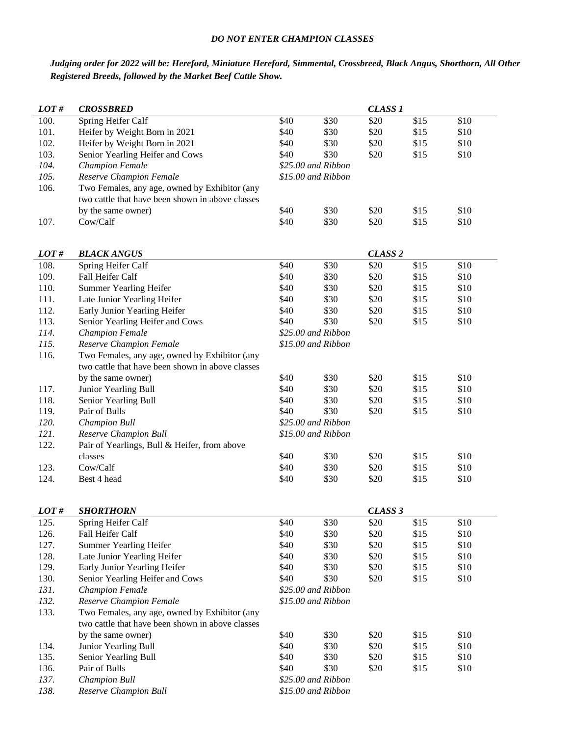### *DO NOT ENTER CHAMPION CLASSES*

# *Judging order for 2022 will be: Hereford, Miniature Hereford, Simmental, Crossbreed, Black Angus, Shorthorn, All Other Registered Breeds, followed by the Market Beef Cattle Show.*

| LOT# | <b>CROSSBRED</b>                                 |                    |                    | <b>CLASS 1</b>     |      |      |
|------|--------------------------------------------------|--------------------|--------------------|--------------------|------|------|
| 100. | Spring Heifer Calf                               | \$40               | \$30               | \$20               | \$15 | \$10 |
| 101. | Heifer by Weight Born in 2021                    | \$40               | \$30               | \$20               | \$15 | \$10 |
| 102. | Heifer by Weight Born in 2021                    | \$40               | \$30               | \$20               | \$15 | \$10 |
| 103. | Senior Yearling Heifer and Cows                  | \$40               | \$30               | \$20               | \$15 | \$10 |
| 104. | <b>Champion Female</b>                           |                    | \$25.00 and Ribbon |                    |      |      |
| 105. | Reserve Champion Female                          |                    | \$15.00 and Ribbon |                    |      |      |
| 106. | Two Females, any age, owned by Exhibitor (any    |                    |                    |                    |      |      |
|      | two cattle that have been shown in above classes |                    |                    |                    |      |      |
|      | by the same owner)                               | \$40               | \$30               | \$20               | \$15 | \$10 |
| 107. | Cow/Calf                                         | \$40               | \$30               | \$20               | \$15 | \$10 |
|      |                                                  |                    |                    |                    |      |      |
|      |                                                  |                    |                    |                    |      |      |
| LOT# | <b>BLACK ANGUS</b>                               |                    |                    | CLASS <sub>2</sub> |      |      |
| 108. | Spring Heifer Calf                               | \$40               | \$30               | \$20               | \$15 | \$10 |
| 109. | Fall Heifer Calf                                 | \$40               | \$30               | \$20               | \$15 | \$10 |
| 110. | Summer Yearling Heifer                           | \$40               | \$30               | \$20               | \$15 | \$10 |
| 111. | Late Junior Yearling Heifer                      | \$40               | \$30               | \$20               | \$15 | \$10 |
| 112. | Early Junior Yearling Heifer                     | \$40               | \$30               | \$20               | \$15 | \$10 |
| 113. | Senior Yearling Heifer and Cows                  | \$40               | \$30               | \$20               | \$15 | \$10 |
| 114. | <b>Champion Female</b>                           |                    | \$25.00 and Ribbon |                    |      |      |
| 115. | Reserve Champion Female                          |                    | \$15.00 and Ribbon |                    |      |      |
| 116. | Two Females, any age, owned by Exhibitor (any    |                    |                    |                    |      |      |
|      | two cattle that have been shown in above classes |                    |                    |                    |      |      |
|      | by the same owner)                               | \$40               | \$30               | \$20               | \$15 | \$10 |
| 117. | Junior Yearling Bull                             | \$40               | \$30               | \$20               | \$15 | \$10 |
| 118. | Senior Yearling Bull                             | \$40               | \$30               | \$20               | \$15 | \$10 |
| 119. | Pair of Bulls                                    | \$40               | \$30               | \$20               | \$15 | \$10 |
| 120. | <b>Champion Bull</b>                             | \$25.00 and Ribbon |                    |                    |      |      |
| 121. | Reserve Champion Bull                            | \$15.00 and Ribbon |                    |                    |      |      |
| 122. | Pair of Yearlings, Bull & Heifer, from above     |                    |                    |                    |      |      |
|      | classes                                          | \$40               | \$30               | \$20               | \$15 | \$10 |
| 123. | Cow/Calf                                         | \$40               | \$30               | \$20               | \$15 | \$10 |
| 124. | Best 4 head                                      | \$40               | \$30               | \$20               | \$15 | \$10 |
|      |                                                  |                    |                    |                    |      |      |
| LOT# | <b>SHORTHORN</b>                                 |                    |                    | CLASS <sub>3</sub> |      |      |
| 125. | Spring Heifer Calf                               | \$40               | \$30               | \$20               | \$15 | \$10 |
| 126. | Fall Heifer Calf                                 | \$40               | \$30               | \$20               | \$15 | \$10 |
| 127. | Summer Yearling Heifer                           | \$40               | \$30               | \$20               | \$15 | \$10 |
| 128. | Late Junior Yearling Heifer                      | \$40               | \$30               | \$20               | \$15 | \$10 |
| 129. | Early Junior Yearling Heifer                     | \$40               | \$30               | \$20               | \$15 | \$10 |
| 130. | Senior Yearling Heifer and Cows                  | \$40               | \$30               | \$20               | \$15 | \$10 |
| 131. | <b>Champion Female</b>                           |                    | \$25.00 and Ribbon |                    |      |      |
| 132. | Reserve Champion Female                          | \$15.00 and Ribbon |                    |                    |      |      |
| 133. | Two Females, any age, owned by Exhibitor (any    |                    |                    |                    |      |      |
|      | two cattle that have been shown in above classes |                    |                    |                    |      |      |
|      | by the same owner)                               | \$40               | \$30               | \$20               | \$15 | \$10 |
| 134. | Junior Yearling Bull                             | \$40               | \$30               | \$20               | \$15 | \$10 |
| 135. | Senior Yearling Bull                             | \$40               | \$30               | \$20               | \$15 | \$10 |
| 136. | Pair of Bulls                                    | \$40               | \$30               | \$20               | \$15 | \$10 |
| 137. | Champion Bull                                    |                    | \$25.00 and Ribbon |                    |      |      |
| 138. | Reserve Champion Bull                            | \$15.00 and Ribbon |                    |                    |      |      |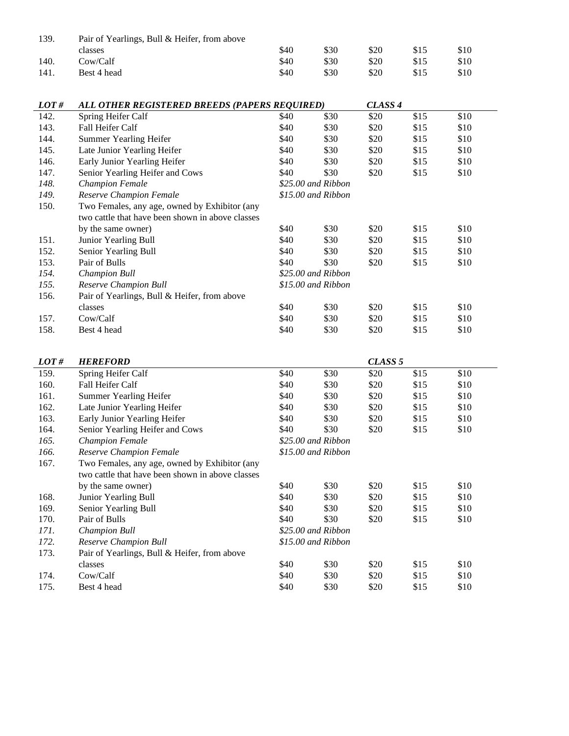| 139. | Pair of Yearlings, Bull & Heifer, from above     |                    |                    |                    |      |      |  |
|------|--------------------------------------------------|--------------------|--------------------|--------------------|------|------|--|
|      | classes                                          | \$40               | \$30               | \$20               | \$15 | \$10 |  |
| 140. | Cow/Calf                                         | \$40               | \$30               | \$20               | \$15 | \$10 |  |
| 141. | Best 4 head                                      | \$40               | \$30               | \$20               | \$15 | \$10 |  |
|      |                                                  |                    |                    |                    |      |      |  |
| LOT# | ALL OTHER REGISTERED BREEDS (PAPERS REQUIRED)    |                    |                    | CLASS <sub>4</sub> |      |      |  |
| 142. | Spring Heifer Calf                               | \$40               | \$30               | \$20               | \$15 | \$10 |  |
| 143. | Fall Heifer Calf                                 | \$40               | \$30               | \$20               | \$15 | \$10 |  |
| 144. | Summer Yearling Heifer                           | \$40               | \$30               | \$20               | \$15 | \$10 |  |
| 145. | Late Junior Yearling Heifer                      | \$40               | \$30               | \$20               | \$15 | \$10 |  |
| 146. | Early Junior Yearling Heifer                     | \$40               | \$30               | \$20               | \$15 | \$10 |  |
| 147. | Senior Yearling Heifer and Cows                  | \$40               | \$30               | \$20               | \$15 | \$10 |  |
| 148. | <b>Champion Female</b>                           |                    | \$25.00 and Ribbon |                    |      |      |  |
| 149. | Reserve Champion Female                          |                    | \$15.00 and Ribbon |                    |      |      |  |
| 150. | Two Females, any age, owned by Exhibitor (any    |                    |                    |                    |      |      |  |
|      | two cattle that have been shown in above classes |                    |                    |                    |      |      |  |
|      | by the same owner)                               | \$40               | \$30               | \$20               | \$15 | \$10 |  |
| 151. | Junior Yearling Bull                             | \$40               | \$30               | \$20               | \$15 | \$10 |  |
| 152. | Senior Yearling Bull                             | \$40               | \$30               | \$20               | \$15 | \$10 |  |
| 153. | Pair of Bulls                                    | \$40               | \$30               | \$20               | \$15 | \$10 |  |
| 154. | <b>Champion Bull</b>                             |                    | \$25.00 and Ribbon |                    |      |      |  |
| 155. | Reserve Champion Bull                            |                    | \$15.00 and Ribbon |                    |      |      |  |
| 156. | Pair of Yearlings, Bull & Heifer, from above     |                    |                    |                    |      |      |  |
|      | classes                                          | \$40               | \$30               | \$20               | \$15 | \$10 |  |
| 157. | Cow/Calf                                         | \$40               | \$30               | \$20               | \$15 | \$10 |  |
| 158. | Best 4 head                                      | \$40               | \$30               | \$20               | \$15 | \$10 |  |
|      |                                                  |                    |                    |                    |      |      |  |
| LOT# | <b>HEREFORD</b>                                  |                    |                    | CLASS <sub>5</sub> |      |      |  |
| 159. | Spring Heifer Calf                               | \$40               | \$30               | \$20               | \$15 | \$10 |  |
| 160. | Fall Heifer Calf                                 | \$40               | \$30               | \$20               | \$15 | \$10 |  |
| 161. | <b>Summer Yearling Heifer</b>                    | \$40               | \$30               | \$20               | \$15 | \$10 |  |
| 162. | Late Junior Yearling Heifer                      | \$40               | \$30               | \$20               | \$15 | \$10 |  |
| 163. | Early Junior Yearling Heifer                     | \$40               | \$30               | \$20               | \$15 | \$10 |  |
| 164. | Senior Yearling Heifer and Cows                  | \$40               | \$30               | \$20               | \$15 | \$10 |  |
| 165. | <b>Champion Female</b>                           | \$25.00 and Ribbon |                    |                    |      |      |  |
| 166. | Reserve Champion Female                          | \$15.00 and Ribbon |                    |                    |      |      |  |
| 167. | Two Females, any age, owned by Exhibitor (any    |                    |                    |                    |      |      |  |
|      | two cattle that have been shown in above classes |                    |                    |                    |      |      |  |
|      | by the same owner)                               | \$40               | \$30               | \$20               | \$15 | \$10 |  |
| 168. | Junior Yearling Bull                             | \$40               | \$30               | \$20               | \$15 | \$10 |  |
| 169. | Senior Yearling Bull                             | \$40               | \$30               | \$20               | \$15 | \$10 |  |
| 170. | Pair of Bulls                                    | \$40               | \$30               | \$20               | \$15 | \$10 |  |
| 171. | Champion Bull                                    |                    | \$25.00 and Ribbon |                    |      |      |  |
| 172. | Reserve Champion Bull                            |                    | \$15.00 and Ribbon |                    |      |      |  |
| 173. | Pair of Yearlings, Bull & Heifer, from above     |                    |                    |                    |      |      |  |
|      | classes                                          | \$40               | \$30               | \$20               | \$15 | \$10 |  |
| 174. | Cow/Calf                                         | \$40               | \$30               | \$20               | \$15 | \$10 |  |
| 175. | Best 4 head                                      | \$40               | \$30               | \$20               | \$15 | \$10 |  |
|      |                                                  |                    |                    |                    |      |      |  |